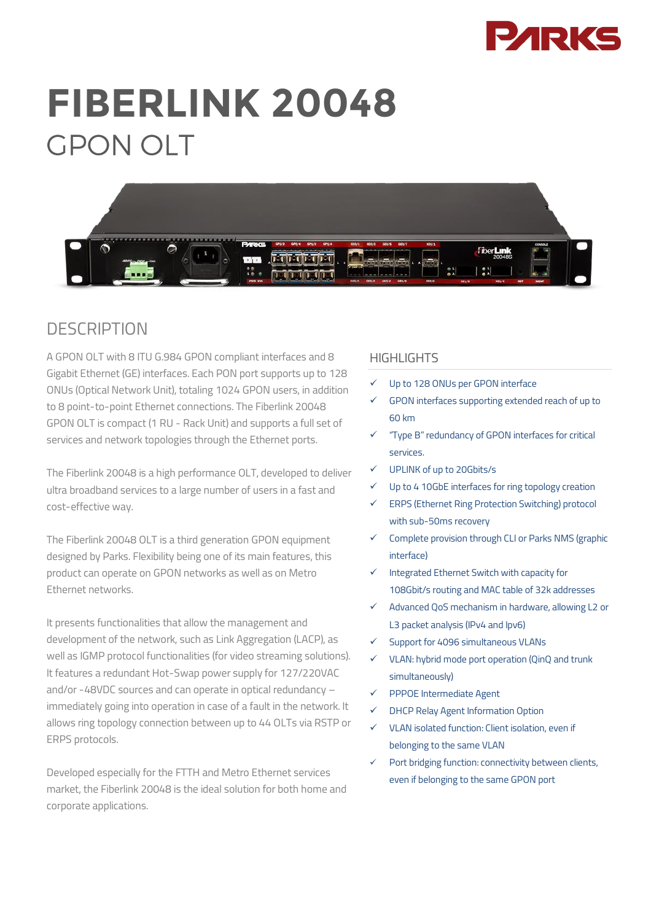

# **FIBERLINK 20048 GPON OLT**



# **DESCRIPTION**

A GPON OLT with 8 ITU G.984 GPON compliant interfaces and 8 Gigabit Ethernet (GE) interfaces. Each PON port supports up to 128 ONUs (Optical Network Unit), totaling 1024 GPON users, in addition to 8 point-to-point Ethernet connections. The Fiberlink 20048 GPON OLT is compact (1 RU - Rack Unit) and supports a full set of services and network topologies through the Ethernet ports.

The Fiberlink 20048 is a high performance OLT, developed to deliver ultra broadband services to a large number of users in a fast and cost-effective way.

The Fiberlink 20048 OLT is a third generation GPON equipment designed by Parks. Flexibility being one of its main features, this product can operate on GPON networks as well as on Metro Ethernet networks.

It presents functionalities that allow the management and development of the network, such as Link Aggregation (LACP), as well as IGMP protocol functionalities (for video streaming solutions). It features a redundant Hot-Swap power supply for 127/220VAC and/or -48VDC sources and can operate in optical redundancy – immediately going into operation in case of a fault in the network. It allows ring topology connection between up to 44 OLTs via RSTP or ERPS protocols.

Developed especially for the FTTH and Metro Ethernet services market, the Fiberlink 20048 is the ideal solution for both home and corporate applications.

#### HIGHI IGHTS

- Up to 128 ONUs per GPON interface
- GPON interfaces supporting extended reach of up to 60 km
- $\checkmark$  "Type B" redundancy of GPON interfaces for critical services.
- UPLINK of up to 20Gbits/s
- $V$  Up to 4 10GbE interfaces for ring topology creation
- ERPS (Ethernet Ring Protection Switching) protocol with sub-50ms recovery
- $\checkmark$  Complete provision through CLI or Parks NMS (graphic interface)
- Integrated Ethernet Switch with capacity for 108Gbit/s routing and MAC table of 32k addresses
- Advanced QoS mechanism in hardware, allowing L2 or L3 packet analysis (IPv4 and Ipv6)
- Support for 4096 simultaneous VLANs
- $V$  VLAN: hybrid mode port operation (QinQ and trunk simultaneously)
- $\checkmark$  PPPOE Intermediate Agent
- DHCP Relay Agent Information Option
- VLAN isolated function: Client isolation, even if belonging to the same VLAN
- Port bridging function: connectivity between clients, even if belonging to the same GPON port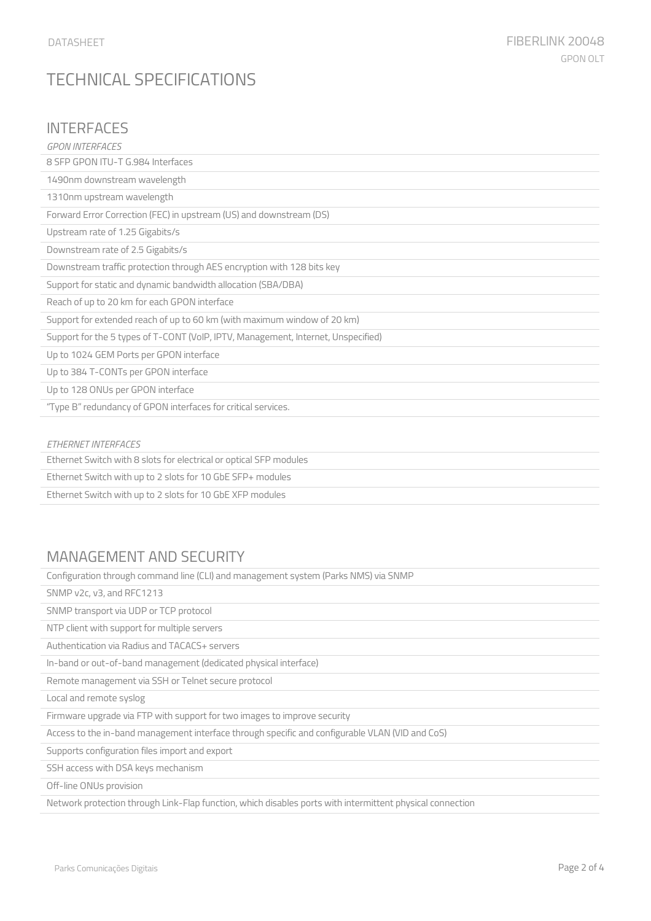# TECHNICAL SPECIFICATIONS

#### **INTERFACES**

| <b>GPON INTERFACES</b>                                                            |
|-----------------------------------------------------------------------------------|
| 8 SFP GPON ITU-T G.984 Interfaces                                                 |
| 1490nm downstream wavelength                                                      |
| 1310nm upstream wavelength                                                        |
| Forward Error Correction (FEC) in upstream (US) and downstream (DS)               |
| Upstream rate of 1.25 Gigabits/s                                                  |
| Downstream rate of 2.5 Gigabits/s                                                 |
| Downstream traffic protection through AES encryption with 128 bits key            |
| Support for static and dynamic bandwidth allocation (SBA/DBA)                     |
| Reach of up to 20 km for each GPON interface                                      |
| Support for extended reach of up to 60 km (with maximum window of 20 km)          |
| Support for the 5 types of T-CONT (VoIP, IPTV, Management, Internet, Unspecified) |
| Up to 1024 GEM Ports per GPON interface                                           |
| Up to 384 T-CONTs per GPON interface                                              |
| Up to 128 ONUs per GPON interface                                                 |
| "Type B" redundancy of GPON interfaces for critical services.                     |
|                                                                                   |
| <b>ETHERNET INTERFACES</b>                                                        |
| Ethernet Switch with 8 slots for electrical or optical SFP modules                |

Ethernet Switch with up to 2 slots for 10 GbE SFP+ modules

Ethernet Switch with up to 2 slots for 10 GbE XFP modules

### MANAGEMENT AND SECURITY

Configuration through command line (CLI) and management system (Parks NMS) via SNMP

SNMP v2c, v3, and RFC1213

SNMP transport via UDP or TCP protocol

NTP client with support for multiple servers

Authentication via Radius and TACACS+ servers

In-band or out-of-band management (dedicated physical interface)

Remote management via SSH or Telnet secure protocol

Local and remote syslog

Firmware upgrade via FTP with support for two images to improve security

Access to the in-band management interface through specific and configurable VLAN (VID and CoS)

Supports configuration files import and export

SSH access with DSA keys mechanism

Off-line ONUs provision

Network protection through Link-Flap function, which disables ports with intermittent physical connection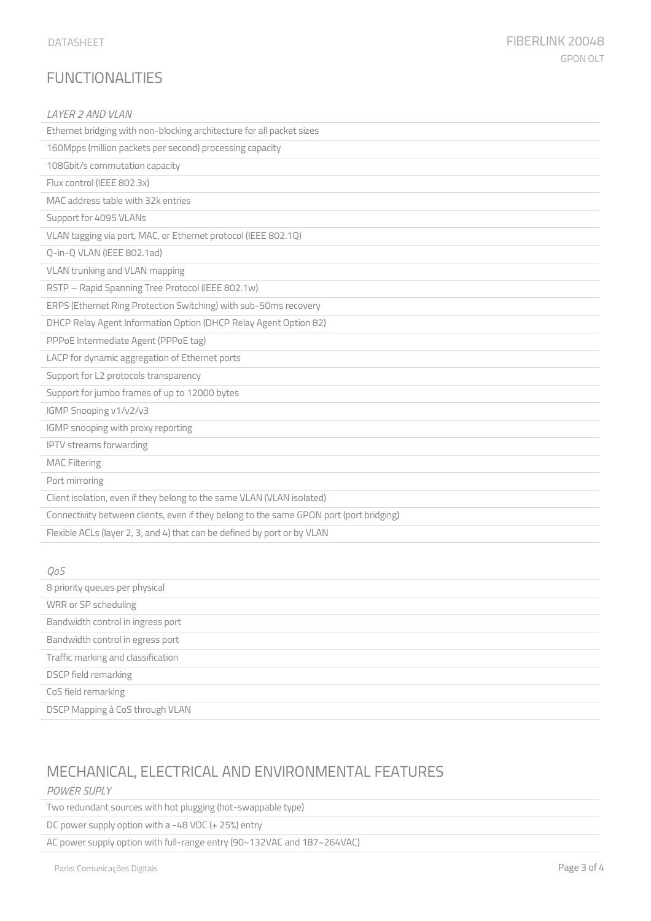| LAYER 2 AND VLAN                                                                        |  |
|-----------------------------------------------------------------------------------------|--|
| Ethernet bridging with non-blocking architecture for all packet sizes                   |  |
| 160Mpps (million packets per second) processing capacity                                |  |
| 108Gbit/s commutation capacity                                                          |  |
| Flux control (IEEE 802.3x)                                                              |  |
| MAC address table with 32k entries                                                      |  |
| Support for 4095 VLANs                                                                  |  |
| VLAN tagging via port, MAC, or Ethernet protocol (IEEE 802.1Q)                          |  |
| Q-in-Q VLAN (IEEE 802.1ad)                                                              |  |
| VLAN trunking and VLAN mapping                                                          |  |
| RSTP - Rapid Spanning Tree Protocol (IEEE 802.1w)                                       |  |
| ERPS (Ethernet Ring Protection Switching) with sub-50ms recovery                        |  |
| DHCP Relay Agent Information Option (DHCP Relay Agent Option 82)                        |  |
| PPPoE Intermediate Agent (PPPoE tag)                                                    |  |
| LACP for dynamic aggregation of Ethernet ports                                          |  |
| Support for L2 protocols transparency                                                   |  |
| Support for jumbo frames of up to 12000 bytes                                           |  |
| IGMP Snooping v1/v2/v3                                                                  |  |
| IGMP snooping with proxy reporting                                                      |  |
| <b>IPTV</b> streams forwarding                                                          |  |
| <b>MAC Filtering</b>                                                                    |  |
| Port mirroring                                                                          |  |
| Client isolation, even if they belong to the same VLAN (VLAN isolated)                  |  |
| Connectivity between clients, even if they belong to the same GPON port (port bridging) |  |
| Flexible ACLs (layer 2, 3, and 4) that can be defined by port or by VLAN                |  |
|                                                                                         |  |
| QoS                                                                                     |  |

| 8 priority queues per physical     |  |
|------------------------------------|--|
| WRR or SP scheduling               |  |
| Bandwidth control in ingress port  |  |
| Bandwidth control in egress port   |  |
| Traffic marking and classification |  |
| DSCP field remarking               |  |
| CoS field remarking                |  |
| DSCP Mapping à CoS through VLAN    |  |

# MECHANICAL, ELECTRICAL AND ENVIRONMENTAL FEATURES

#### *POWER SUPLY*

Two redundant sources with hot plugging (hot-swappable type)

DC power supply option with a -48 VDC (+ 25%) entry

AC power supply option with full-range entry (90~132VAC and 187~264VAC)